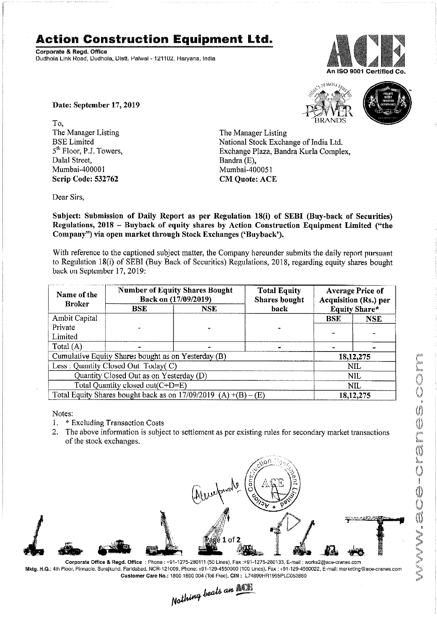## Action Construction Equipment Ltd.

Corporate & Regd. Office Dudhola Link Road, Dudhola, Distt. Palwal - 121102, Haryana, India



Date: September 17, 2019

To, the contract of the contract of the contract of the contract of the contract of the contract of the contract of the contract of the contract of the contract of the contract of the contract of the contract of the contra The Manager Listing<br>
BSE Limited<br>
The Manager Listing<br>
National Stock Excha Dalal Street, Bandra (E), Bandra (E), Bandra (E), Bandra (E), Bandra (E), Bandra (E), Bandra (E), Bandra (E), Bandra (E), Bandra (E), Bandra (E), Bandra (E), Bandra (E), Bandra (E), Bandra (E), Bandra (E), Bandra (E), Band Scrip Code: 532762 CM Quote: ACE

L



BSE Limited National Stock Exchange of India Ltd.<br>
5<sup>th</sup> Floor, P.J. Towers, Exchange Plaza, Bandra Kurla Comple 5<sup>th</sup> Floor, P.J. Towers, Exchange Plaza, Bandra Kurla Complex, Dalal Street, Bandra (E), Mumbai-400051

Dear Sirs,

Subject: Submission of Daily Report as per Regulation 18(i) of SEBI (Buy-back of Securities) Regulations, 2018 — Buyback of equity shares by Action Construction Equipment Limited ("the Company") via open market through Stock Exchanges ('Buyback').

With reference to the captioned subject matter, the Company hereunder submits the daily report pursuant to Regulation 18(i) of SEBI (Buy Back of Securities) Regulations, 2018, regarding equity shares bought back on September 17, 2019:

| Name of the<br><b>Broker</b>                                      | <b>Number of Equity Shares Bought</b><br>Back on (17/09/2019) |            | <b>Total Equity</b><br><b>Shares bought</b> | <b>Average Price of</b><br><b>Acquisition (Rs.) per</b> |            |
|-------------------------------------------------------------------|---------------------------------------------------------------|------------|---------------------------------------------|---------------------------------------------------------|------------|
|                                                                   | <b>BSE</b>                                                    | <b>NSE</b> | back                                        | <b>Equity Share*</b>                                    |            |
| <b>Ambit Capital</b>                                              |                                                               |            |                                             | <b>BSE</b>                                              | <b>NSE</b> |
| Private                                                           |                                                               |            |                                             |                                                         |            |
| Limited                                                           |                                                               |            |                                             |                                                         |            |
| Total $(A)$                                                       |                                                               |            |                                             |                                                         |            |
| Cumulative Equity Shares bought as on Yesterday (B)               |                                                               |            |                                             | 18,12,275                                               |            |
| Less: Quantity Closed Out Today(C)                                |                                                               |            |                                             | NIL                                                     |            |
| Quantity Closed Out as on Yesterday (D)                           |                                                               |            |                                             | <b>NIL</b>                                              |            |
| Total Quantity closed out(C+D=E)                                  |                                                               |            |                                             | NIL                                                     |            |
| Total Equity Shares bought back as on $17/09/2019$ (A) +(B) – (E) |                                                               |            |                                             | 18, 12, 275                                             |            |

Notes:

- 1. \* Excluding Transaction Costs
- 2. The above information is subject to settlement as per existing rules for secondary market transactions of the stock exchanges.



Corporate Office & Regd. Office: Phone: +91-1275-280111 (50 Lines), Fax: +91-1275-280133, E-mail: works2@ace-cranes.com Mktg. H.Q.: 4th Floor, Pinnacle, Surajkund, Faridabad, NCR-121009, Phone: +91-129-4550000 (100 Lines), Fax: +91-129-4550022, E-mail: marketing@ace-cranes.com

Customer Care No.: 1800 1800 004 (Toll Free), CIN : L74899HR1995PLC053860<br>Nathing beats an **Newlite**